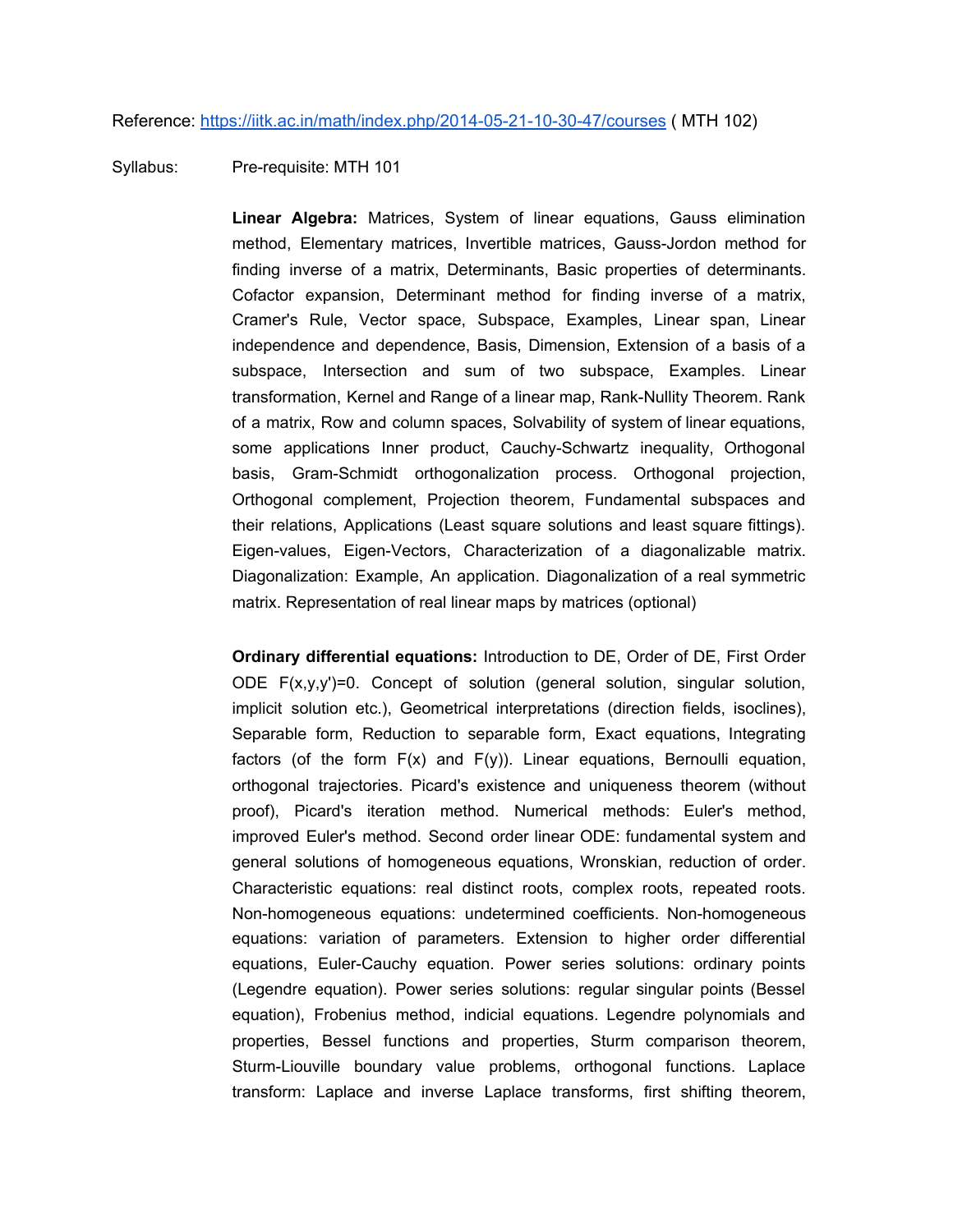## Reference: <https://iitk.ac.in/math/index.php/2014-05-21-10-30-47/courses> ( MTH 102)

## Syllabus: Pre-requisite: MTH 101

**Linear Algebra:** Matrices, System of linear equations, Gauss elimination method, Elementary matrices, Invertible matrices, Gauss-Jordon method for finding inverse of a matrix, Determinants, Basic properties of determinants. Cofactor expansion, Determinant method for finding inverse of a matrix, Cramer's Rule, Vector space, Subspace, Examples, Linear span, Linear independence and dependence, Basis, Dimension, Extension of a basis of a subspace, Intersection and sum of two subspace, Examples. Linear transformation, Kernel and Range of a linear map, Rank-Nullity Theorem. Rank of a matrix, Row and column spaces, Solvability of system of linear equations, some applications Inner product, Cauchy-Schwartz inequality, Orthogonal basis, Gram-Schmidt orthogonalization process. Orthogonal projection, Orthogonal complement, Projection theorem, Fundamental subspaces and their relations, Applications (Least square solutions and least square fittings). Eigen-values, Eigen-Vectors, Characterization of a diagonalizable matrix. Diagonalization: Example, An application. Diagonalization of a real symmetric matrix. Representation of real linear maps by matrices (optional)

**Ordinary differential equations:** Introduction to DE, Order of DE, First Order ODE F(x,y,y')=0. Concept of solution (general solution, singular solution, implicit solution etc.), Geometrical interpretations (direction fields, isoclines), Separable form, Reduction to separable form, Exact equations, Integrating factors (of the form  $F(x)$  and  $F(y)$ ). Linear equations, Bernoulli equation, orthogonal trajectories. Picard's existence and uniqueness theorem (without proof), Picard's iteration method. Numerical methods: Euler's method, improved Euler's method. Second order linear ODE: fundamental system and general solutions of homogeneous equations, Wronskian, reduction of order. Characteristic equations: real distinct roots, complex roots, repeated roots. Non-homogeneous equations: undetermined coefficients. Non-homogeneous equations: variation of parameters. Extension to higher order differential equations, Euler-Cauchy equation. Power series solutions: ordinary points (Legendre equation). Power series solutions: regular singular points (Bessel equation), Frobenius method, indicial equations. Legendre polynomials and properties, Bessel functions and properties, Sturm comparison theorem, Sturm-Liouville boundary value problems, orthogonal functions. Laplace transform: Laplace and inverse Laplace transforms, first shifting theorem,